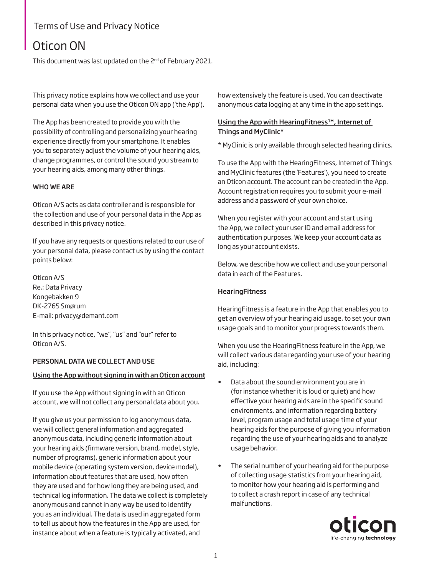# Terms of Use and Privacy Notice

# Oticon ON

This document was last updated on the 2<sup>nd</sup> of February 2021.

This privacy notice explains how we collect and use your personal data when you use the Oticon ON app ('the App').

The App has been created to provide you with the possibility of controlling and personalizing your hearing experience directly from your smartphone. It enables you to separately adjust the volume of your hearing aids, change programmes, or control the sound you stream to your hearing aids, among many other things.

# WHO WE ARE

Oticon A/S acts as data controller and is responsible for the collection and use of your personal data in the App as described in this privacy notice.

If you have any requests or questions related to our use of your personal data, please contact us by using the contact points below:

Oticon A/S Re.: Data Privacy Kongebakken 9 DK-2765 Smørum E-mail: [privacy@demant.com](mailto:privacy%40demant.com?subject=) 

In this privacy notice, "we", "us" and "our" refer to Oticon A/S.

### PERSONAL DATA WE COLLECT AND USE

### Using the App without signing in with an Oticon account

If you use the App without signing in with an Oticon account, we will not collect any personal data about you.

If you give us your permission to log anonymous data, we will collect general information and aggregated anonymous data, including generic information about your hearing aids (firmware version, brand, model, style, number of programs), generic information about your mobile device (operating system version, device model), information about features that are used, how often they are used and for how long they are being used, and technical log information. The data we collect is completely anonymous and cannot in any way be used to identify you as an individual. The data is used in aggregated form to tell us about how the features in the App are used, for instance about when a feature is typically activated, and

how extensively the feature is used. You can deactivate anonymous data logging at any time in the app settings.

# Using the App with HearingFitness™, Internet of Things and MyClinic\*

\* MyClinic is only available through selected hearing clinics.

To use the App with the HearingFitness, Internet of Things and MyClinic features (the 'Features'), you need to create an Oticon account. The account can be created in the App. Account registration requires you to submit your e-mail address and a password of your own choice.

When you register with your account and start using the App, we collect your user ID and email address for authentication purposes. We keep your account data as long as your account exists.

Below, we describe how we collect and use your personal data in each of the Features.

### **HearingFitness**

HearingFitness is a feature in the App that enables you to get an overview of your hearing aid usage, to set your own usage goals and to monitor your progress towards them.

When you use the HearingFitness feature in the App, we will collect various data regarding your use of your hearing aid, including:

- Data about the sound environment you are in (for instance whether it is loud or quiet) and how effective your hearing aids are in the specific sound environments, and information regarding battery level, program usage and total usage time of your hearing aids for the purpose of giving you information regarding the use of your hearing aids and to analyze usage behavior.
- The serial number of your hearing aid for the purpose of collecting usage statistics from your hearing aid, to monitor how your hearing aid is performing and to collect a crash report in case of any technical malfunctions.

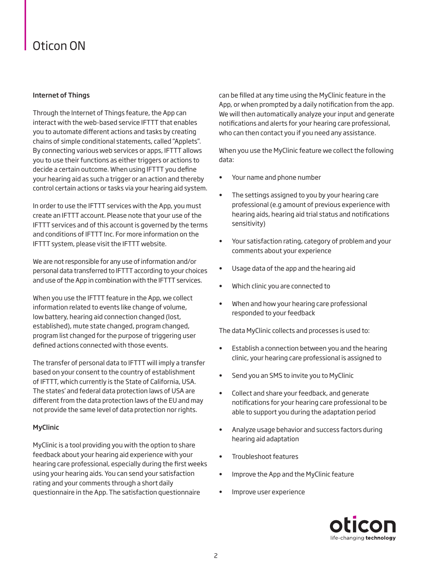# Oticon ON

# Internet of Things

Through the Internet of Things feature, the App can interact with the web-based service IFTTT that enables you to automate different actions and tasks by creating chains of simple conditional statements, called "Applets". By connecting various web services or apps, IFTTT allows you to use their functions as either triggers or actions to decide a certain outcome. When using IFTTT you define your hearing aid as such a trigger or an action and thereby control certain actions or tasks via your hearing aid system.

In order to use the IFTTT services with the App, you must create an IFTTT account. Please note that your use of the IFTTT services and of this account is governed by the terms and conditions of IFTTT Inc. For more information on the IFTTT system, please visit the IFTTT website.

We are not responsible for any use of information and/or personal data transferred to IFTTT according to your choices and use of the App in combination with the IFTTT services.

When you use the IFTTT feature in the App, we collect information related to events like change of volume, low battery, hearing aid connection changed (lost, established), mute state changed, program changed, program list changed for the purpose of triggering user defined actions connected with those events.

The transfer of personal data to IFTTT will imply a transfer based on your consent to the country of establishment of IFTTT, which currently is the State of California, USA. The states' and federal data protection laws of USA are different from the data protection laws of the EU and may not provide the same level of data protection nor rights.

# MyClinic

MyClinic is a tool providing you with the option to share feedback about your hearing aid experience with your hearing care professional, especially during the first weeks using your hearing aids. You can send your satisfaction rating and your comments through a short daily questionnaire in the App. The satisfaction questionnaire

can be filled at any time using the MyClinic feature in the App, or when prompted by a daily notification from the app. We will then automatically analyze your input and generate notifications and alerts for your hearing care professional, who can then contact you if you need any assistance.

When you use the MyClinic feature we collect the following data:

- Your name and phone number
- The settings assigned to you by your hearing care professional (e.g amount of previous experience with hearing aids, hearing aid trial status and notifications sensitivity)
- Your satisfaction rating, category of problem and your comments about your experience
- Usage data of the app and the hearing aid
- Which clinic you are connected to
- When and how your hearing care professional responded to your feedback

The data MyClinic collects and processes is used to:

- Establish a connection between you and the hearing clinic, your hearing care professional is assigned to
- Send you an SMS to invite you to MyClinic
- Collect and share your feedback, and generate notifications for your hearing care professional to be able to support you during the adaptation period
- Analyze usage behavior and success factors during hearing aid adaptation
- Troubleshoot features
- Improve the App and the MyClinic feature
- Improve user experience

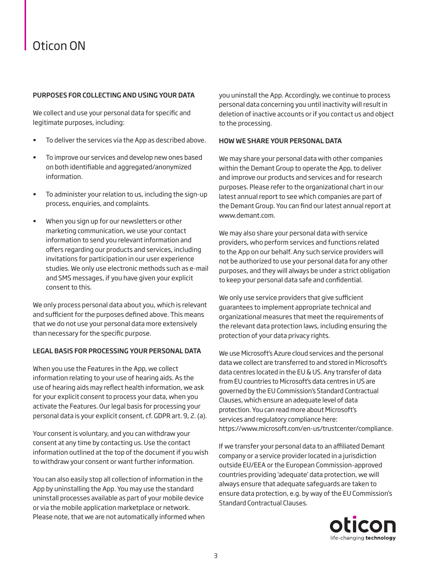# Oticon ON

# PURPOSES FOR COLLECTING AND USING YOUR DATA

We collect and use your personal data for specific and legitimate purposes, including:

- To deliver the services via the App as described above.
- To improve our services and develop new ones based on both identifiable and aggregated/anonymized information.
- To administer your relation to us, including the sign-up process, enquiries, and complaints.
- When you sign up for our newsletters or other marketing communication, we use your contact information to send you relevant information and offers regarding our products and services, including invitations for participation in our user experience studies. We only use electronic methods such as e-mail and SMS messages, if you have given your explicit consent to this.

We only process personal data about you, which is relevant and sufficient for the purposes defined above. This means that we do not use your personal data more extensively than necessary for the specific purpose.

### LEGAL BASIS FOR PROCESSING YOUR PERSONAL DATA

When you use the Features in the App, we collect information relating to your use of hearing aids. As the use of hearing aids may reflect health information, we ask for your explicit consent to process your data, when you activate the Features. Our legal basis for processing your personal data is your explicit consent, cf. GDPR art. 9, 2. (a).

Your consent is voluntary, and you can withdraw your consent at any time by contacting us. Use the contact information outlined at the top of the document if you wish to withdraw your consent or want further information.

You can also easily stop all collection of information in the App by uninstalling the App. You may use the standard uninstall processes available as part of your mobile device or via the mobile application marketplace or network. Please note, that we are not automatically informed when you uninstall the App. Accordingly, we continue to process personal data concerning you until inactivity will result in deletion of inactive accounts or if you contact us and object to the processing.

### HOW WE SHARE YOUR PERSONAL DATA

We may share your personal data with other companies within the Demant Group to operate the App, to deliver and improve our products and services and for research purposes. Please refer to the organizational chart in our latest annual report to see which companies are part of the Demant Group. You can find our latest annual report at [www.demant.com](http://www.demant.com).

We may also share your personal data with service providers, who perform services and functions related to the App on our behalf. Any such service providers will not be authorized to use your personal data for any other purposes, and they will always be under a strict obligation to keep your personal data safe and confidential.

We only use service providers that give sufficient guarantees to implement appropriate technical and organizational measures that meet the requirements of the relevant data protection laws, including ensuring the protection of your data privacy rights.

We use Microsoft's Azure cloud services and the personal data we collect are transferred to and stored in Microsoft's data centres located in the EU & US. Any transfer of data from EU countries to Microsoft's data centres in US are governed by the EU Commission's Standard Contractual Clauses, which ensure an adequate level of data protection. You can read more about Microsoft's services and regulatory compliance here: <https://www.microsoft.com/en-us/trustcenter/compliance.>

If we transfer your personal data to an affiliated Demant company or a service provider located in a jurisdiction outside EU/EEA or the European Commission-approved countries providing 'adequate' data protection, we will always ensure that adequate safeguards are taken to ensure data protection, e.g. by way of the EU Commission's Standard Contractual Clauses.